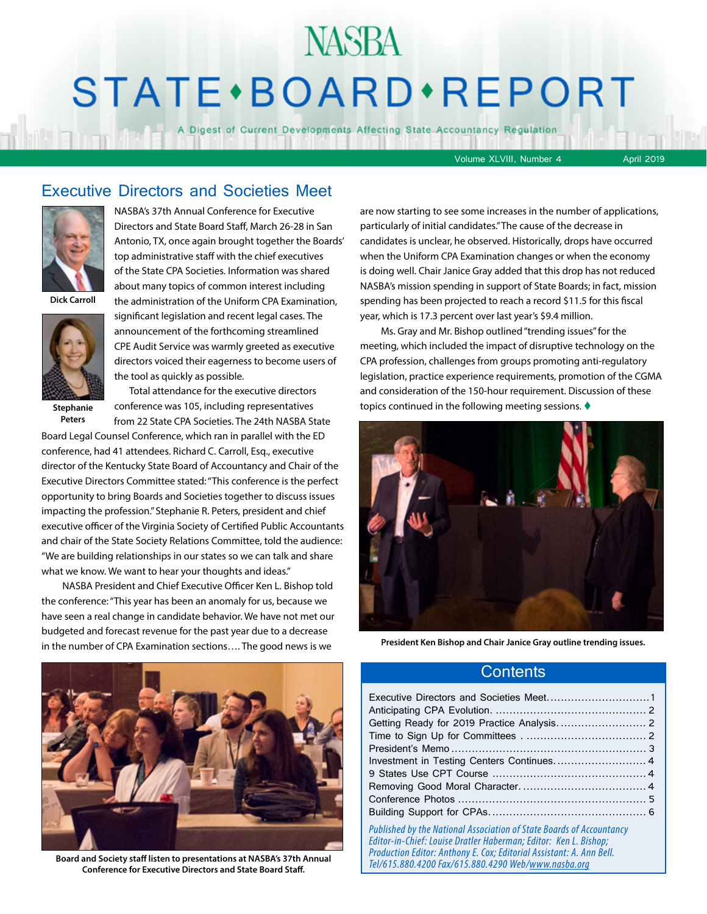## **NASBA** STATE · BOARD · REPORT

A Digest of Current Developments Affecting State Accountancy Regulation

Volume XLVIII, Number 4 April 2019

#### Executive Directors and Societies Meet



NASBA's 37th Annual Conference for Executive Directors and State Board Staff, March 26-28 in San Antonio, TX, once again brought together the Boards' top administrative staff with the chief executives of the State CPA Societies. Information was shared about many topics of common interest including the administration of the Uniform CPA Examination,

**Dick Carroll**



significant legislation and recent legal cases. The announcement of the forthcoming streamlined CPE Audit Service was warmly greeted as executive directors voiced their eagerness to become users of the tool as quickly as possible.

**Stephanie Peters**

Total attendance for the executive directors conference was 105, including representatives from 22 State CPA Societies. The 24th NASBA State

Board Legal Counsel Conference, which ran in parallel with the ED conference, had 41 attendees. Richard C. Carroll, Esq., executive director of the Kentucky State Board of Accountancy and Chair of the Executive Directors Committee stated: "This conference is the perfect opportunity to bring Boards and Societies together to discuss issues impacting the profession." Stephanie R. Peters, president and chief executive officer of the Virginia Society of Certified Public Accountants and chair of the State Society Relations Committee, told the audience: "We are building relationships in our states so we can talk and share what we know. We want to hear your thoughts and ideas."

NASBA President and Chief Executive Officer Ken L. Bishop told the conference: "This year has been an anomaly for us, because we have seen a real change in candidate behavior. We have not met our budgeted and forecast revenue for the past year due to a decrease in the number of CPA Examination sections…. The good news is we

are now starting to see some increases in the number of applications, particularly of initial candidates." The cause of the decrease in candidates is unclear, he observed. Historically, drops have occurred when the Uniform CPA Examination changes or when the economy is doing well. Chair Janice Gray added that this drop has not reduced NASBA's mission spending in support of State Boards; in fact, mission spending has been projected to reach a record \$11.5 for this fiscal year, which is 17.3 percent over last year's \$9.4 million.

Ms. Gray and Mr. Bishop outlined "trending issues" for the meeting, which included the impact of disruptive technology on the CPA profession, challenges from groups promoting anti-regulatory legislation, practice experience requirements, promotion of the CGMA and consideration of the 150-hour requirement. Discussion of these topics continued in the following meeting sessions.  $\blacklozenge$ 



**President Ken Bishop and Chair Janice Gray outline trending issues.**



| <b>Mary</b> |                                                                                                            |  |
|-------------|------------------------------------------------------------------------------------------------------------|--|
|             | $D_x[k]$ is the distribution of the second integration of $C_{k-1,k}$ , $D_x$ and $x \in A$ is constant on |  |

*Published by the National Association of State Boards of Accountancy Editor-in-Chief: Louise Dratler Haberman; Editor: Ken L. Bishop; Production Editor: Anthony E. Cox; Editorial Assistant: A. Ann Bell. Tel/615.880.4200 Fax/615.880.4290 Web/www.nasba.org*



**Board and Society staff listen to presentations at NASBA's 37th Annual Conference for Executive Directors and State Board Staff.**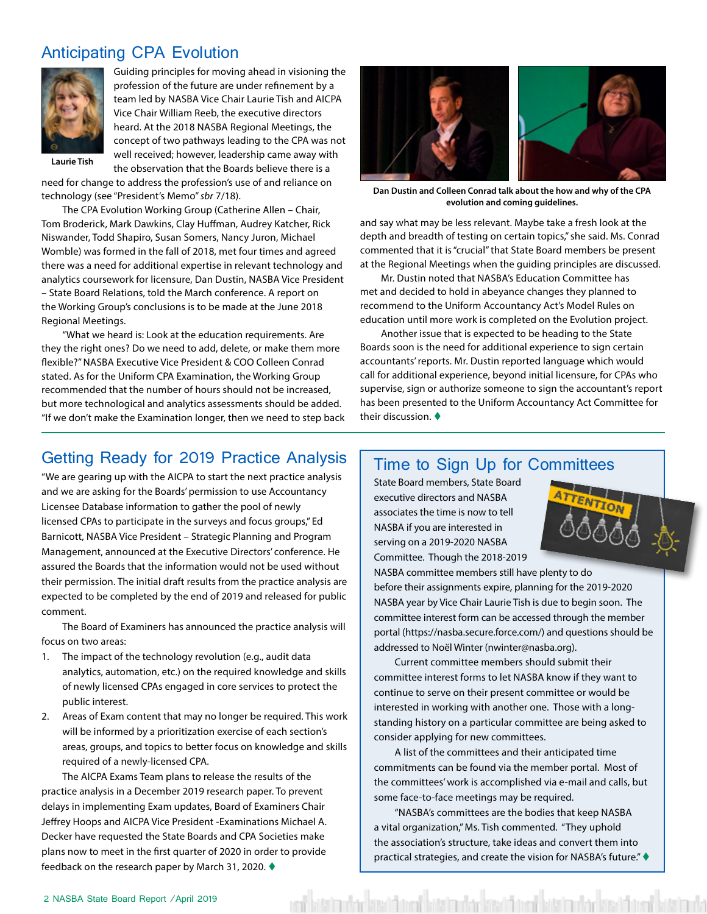#### <span id="page-1-0"></span>Anticipating CPA Evolution



Guiding principles for moving ahead in visioning the profession of the future are under refinement by a team led by NASBA Vice Chair Laurie Tish and AICPA Vice Chair William Reeb, the executive directors heard. At the 2018 NASBA Regional Meetings, the concept of two pathways leading to the CPA was not well received; however, leadership came away with

the observation that the Boards believe there is a

**Laurie Tish**

need for change to address the profession's use of and reliance on technology (see "President's Memo" *sbr* 7/18).

The CPA Evolution Working Group (Catherine Allen – Chair, Tom Broderick, Mark Dawkins, Clay Huffman, Audrey Katcher, Rick Niswander, Todd Shapiro, Susan Somers, Nancy Juron, Michael Womble) was formed in the fall of 2018, met four times and agreed there was a need for additional expertise in relevant technology and analytics coursework for licensure, Dan Dustin, NASBA Vice President – State Board Relations, told the March conference. A report on the Working Group's conclusions is to be made at the June 2018 Regional Meetings.

"What we heard is: Look at the education requirements. Are they the right ones? Do we need to add, delete, or make them more flexible?" NASBA Executive Vice President & COO Colleen Conrad stated. As for the Uniform CPA Examination, the Working Group recommended that the number of hours should not be increased, but more technological and analytics assessments should be added. "If we don't make the Examination longer, then we need to step back



**Dan Dustin and Colleen Conrad talk about the how and why of the CPA evolution and coming guidelines.**

and say what may be less relevant. Maybe take a fresh look at the depth and breadth of testing on certain topics," she said. Ms. Conrad commented that it is "crucial" that State Board members be present at the Regional Meetings when the guiding principles are discussed.

Mr. Dustin noted that NASBA's Education Committee has met and decided to hold in abeyance changes they planned to recommend to the Uniform Accountancy Act's Model Rules on education until more work is completed on the Evolution project.

Another issue that is expected to be heading to the State Boards soon is the need for additional experience to sign certain accountants' reports. Mr. Dustin reported language which would call for additional experience, beyond initial licensure, for CPAs who supervise, sign or authorize someone to sign the accountant's report has been presented to the Uniform Accountancy Act Committee for their discussion.  $\blacklozenge$ 

#### Getting Ready for 2019 Practice Analysis

"We are gearing up with the AICPA to start the next practice analysis and we are asking for the Boards' permission to use Accountancy Licensee Database information to gather the pool of newly licensed CPAs to participate in the surveys and focus groups," Ed Barnicott, NASBA Vice President – Strategic Planning and Program Management, announced at the Executive Directors' conference. He assured the Boards that the information would not be used without their permission. The initial draft results from the practice analysis are expected to be completed by the end of 2019 and released for public comment.

The Board of Examiners has announced the practice analysis will focus on two areas:

- 1. The impact of the technology revolution (e.g., audit data analytics, automation, etc.) on the required knowledge and skills of newly licensed CPAs engaged in core services to protect the public interest.
- 2. Areas of Exam content that may no longer be required. This work will be informed by a prioritization exercise of each section's areas, groups, and topics to better focus on knowledge and skills required of a newly-licensed CPA.

The AICPA Exams Team plans to release the results of the practice analysis in a December 2019 research paper. To prevent delays in implementing Exam updates, Board of Examiners Chair Jeffrey Hoops and AICPA Vice President -Examinations Michael A. Decker have requested the State Boards and CPA Societies make plans now to meet in the first quarter of 2020 in order to provide feedback on the research paper by March 31, 2020.  $\blacklozenge$ 

#### Time to Sign Up for Committees

State Board members, State Board executive directors and NASBA associates the time is now to tell NASBA if you are interested in serving on a 2019-2020 NASBA Committee. Though the 2018-2019



NASBA committee members still have plenty to do before their assignments expire, planning for the 2019-2020 NASBA year by Vice Chair Laurie Tish is due to begin soon. The committee interest form can be accessed through the member portal (https://nasba.secure.force.com/) and questions should be addressed to Noël Winter (nwinter@nasba.org).

Current committee members should submit their committee interest forms to let NASBA know if they want to continue to serve on their present committee or would be interested in working with another one. Those with a longstanding history on a particular committee are being asked to consider applying for new committees.

A list of the committees and their anticipated time commitments can be found via the member portal. Most of the committees' work is accomplished via e-mail and calls, but some face-to-face meetings may be required.

"NASBA's committees are the bodies that keep NASBA a vital organization," Ms. Tish commented. "They uphold the association's structure, take ideas and convert them into practical strategies, and create the vision for NASBA's future."  $\blacklozenge$ 

ent bitaten dar bitatet bitaten dar bitatet in at bitaten dar bitatet bi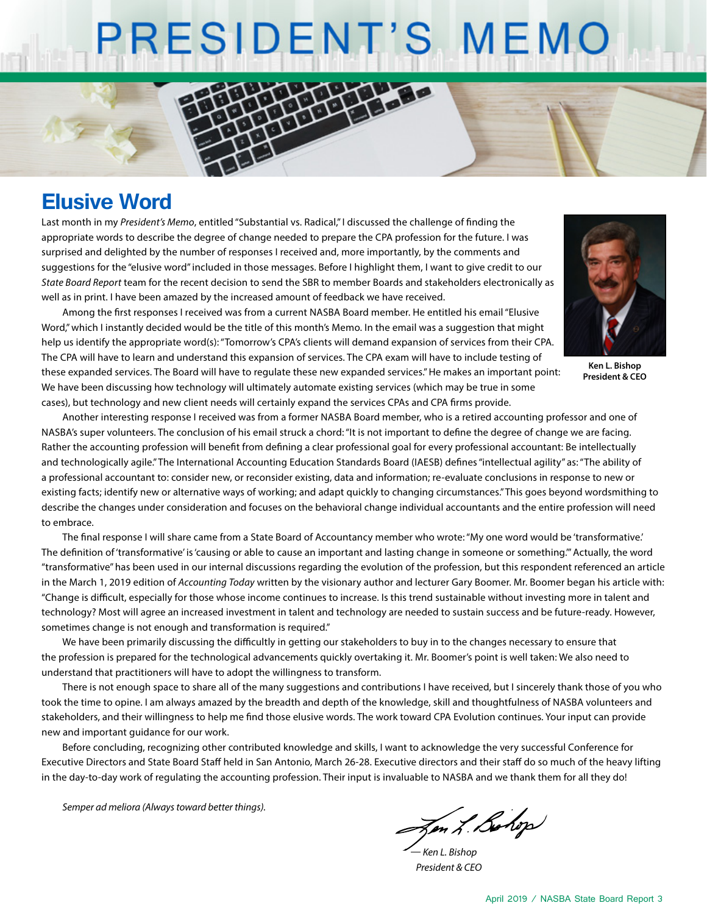# PRESIDENT'S MEMO

**CHILLED** 

### **Elusive Word**

Last month in my *President's Memo*, entitled "Substantial vs. Radical," I discussed the challenge of finding the appropriate words to describe the degree of change needed to prepare the CPA profession for the future. I was surprised and delighted by the number of responses I received and, more importantly, by the comments and suggestions for the "elusive word" included in those messages. Before I highlight them, I want to give credit to our *State Board Report* team for the recent decision to send the SBR to member Boards and stakeholders electronically as well as in print. I have been amazed by the increased amount of feedback we have received.

Among the first responses I received was from a current NASBA Board member. He entitled his email "Elusive Word," which I instantly decided would be the title of this month's Memo. In the email was a suggestion that might help us identify the appropriate word(s): "Tomorrow's CPA's clients will demand expansion of services from their CPA. The CPA will have to learn and understand this expansion of services. The CPA exam will have to include testing of these expanded services. The Board will have to regulate these new expanded services." He makes an important point: We have been discussing how technology will ultimately automate existing services (which may be true in some cases), but technology and new client needs will certainly expand the services CPAs and CPA firms provide.



**Ken L. Bishop President & CEO**

Another interesting response I received was from a former NASBA Board member, who is a retired accounting professor and one of NASBA's super volunteers. The conclusion of his email struck a chord: "It is not important to define the degree of change we are facing. Rather the accounting profession will benefit from defining a clear professional goal for every professional accountant: Be intellectually and technologically agile." The International Accounting Education Standards Board (IAESB) defines "intellectual agility" as: "The ability of a professional accountant to: consider new, or reconsider existing, data and information; re-evaluate conclusions in response to new or existing facts; identify new or alternative ways of working; and adapt quickly to changing circumstances." This goes beyond wordsmithing to describe the changes under consideration and focuses on the behavioral change individual accountants and the entire profession will need to embrace.

The final response I will share came from a State Board of Accountancy member who wrote: "My one word would be 'transformative.' The definition of 'transformative' is 'causing or able to cause an important and lasting change in someone or something.'" Actually, the word "transformative" has been used in our internal discussions regarding the evolution of the profession, but this respondent referenced an article in the March 1, 2019 edition of *Accounting Today* written by the visionary author and lecturer Gary Boomer. Mr. Boomer began his article with: "Change is difficult, especially for those whose income continues to increase. Is this trend sustainable without investing more in talent and technology? Most will agree an increased investment in talent and technology are needed to sustain success and be future-ready. However, sometimes change is not enough and transformation is required."

We have been primarily discussing the difficultly in getting our stakeholders to buy in to the changes necessary to ensure that the profession is prepared for the technological advancements quickly overtaking it. Mr. Boomer's point is well taken: We also need to understand that practitioners will have to adopt the willingness to transform.

There is not enough space to share all of the many suggestions and contributions I have received, but I sincerely thank those of you who took the time to opine. I am always amazed by the breadth and depth of the knowledge, skill and thoughtfulness of NASBA volunteers and stakeholders, and their willingness to help me find those elusive words. The work toward CPA Evolution continues. Your input can provide new and important guidance for our work.

Before concluding, recognizing other contributed knowledge and skills, I want to acknowledge the very successful Conference for Executive Directors and State Board Staff held in San Antonio, March 26-28. Executive directors and their staff do so much of the heavy lifting in the day-to-day work of regulating the accounting profession. Their input is invaluable to NASBA and we thank them for all they do!

*Semper ad meliora (Always toward better things).*

In L. Bohop

*— Ken L. Bishop President & CEO*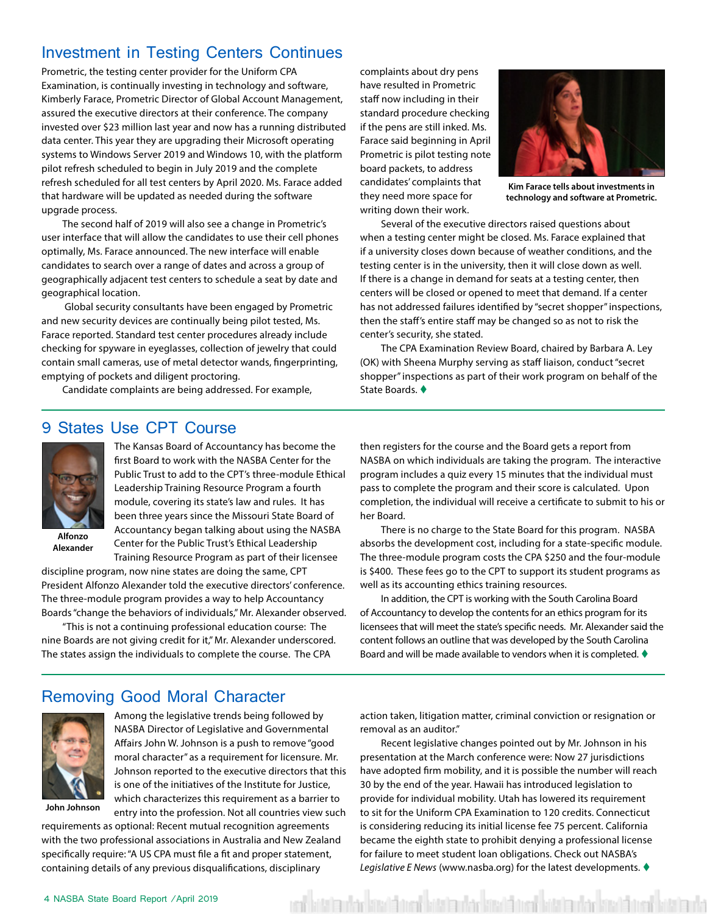#### <span id="page-3-0"></span>Investment in Testing Centers Continues

Prometric, the testing center provider for the Uniform CPA Examination, is continually investing in technology and software, Kimberly Farace, Prometric Director of Global Account Management, assured the executive directors at their conference. The company invested over \$23 million last year and now has a running distributed data center. This year they are upgrading their Microsoft operating systems to Windows Server 2019 and Windows 10, with the platform pilot refresh scheduled to begin in July 2019 and the complete refresh scheduled for all test centers by April 2020. Ms. Farace added that hardware will be updated as needed during the software upgrade process.

The second half of 2019 will also see a change in Prometric's user interface that will allow the candidates to use their cell phones optimally, Ms. Farace announced. The new interface will enable candidates to search over a range of dates and across a group of geographically adjacent test centers to schedule a seat by date and geographical location.

 Global security consultants have been engaged by Prometric and new security devices are continually being pilot tested, Ms. Farace reported. Standard test center procedures already include checking for spyware in eyeglasses, collection of jewelry that could contain small cameras, use of metal detector wands, fingerprinting, emptying of pockets and diligent proctoring.

Candidate complaints are being addressed. For example,

complaints about dry pens have resulted in Prometric staff now including in their standard procedure checking if the pens are still inked. Ms. Farace said beginning in April Prometric is pilot testing note board packets, to address candidates' complaints that they need more space for writing down their work.



**Kim Farace tells about investments in technology and software at Prometric.**

Several of the executive directors raised questions about when a testing center might be closed. Ms. Farace explained that if a university closes down because of weather conditions, and the testing center is in the university, then it will close down as well. If there is a change in demand for seats at a testing center, then centers will be closed or opened to meet that demand. If a center has not addressed failures identified by "secret shopper" inspections, then the staff's entire staff may be changed so as not to risk the center's security, she stated.

The CPA Examination Review Board, chaired by Barbara A. Ley (OK) with Sheena Murphy serving as staff liaison, conduct "secret shopper" inspections as part of their work program on behalf of the State Boards.

#### 9 States Use CPT Course



The Kansas Board of Accountancy has become the first Board to work with the NASBA Center for the Public Trust to add to the CPT's three-module Ethical Leadership Training Resource Program a fourth module, covering its state's law and rules. It has been three years since the Missouri State Board of Accountancy began talking about using the NASBA Center for the Public Trust's Ethical Leadership Training Resource Program as part of their licensee

**Alfonzo Alexander**

discipline program, now nine states are doing the same, CPT President Alfonzo Alexander told the executive directors' conference. The three-module program provides a way to help Accountancy Boards "change the behaviors of individuals," Mr. Alexander observed.

"This is not a continuing professional education course: The nine Boards are not giving credit for it," Mr. Alexander underscored. The states assign the individuals to complete the course. The CPA

then registers for the course and the Board gets a report from NASBA on which individuals are taking the program. The interactive program includes a quiz every 15 minutes that the individual must pass to complete the program and their score is calculated. Upon completion, the individual will receive a certificate to submit to his or her Board.

There is no charge to the State Board for this program. NASBA absorbs the development cost, including for a state-specific module. The three-module program costs the CPA \$250 and the four-module is \$400. These fees go to the CPT to support its student programs as well as its accounting ethics training resources.

In addition, the CPT is working with the South Carolina Board of Accountancy to develop the contents for an ethics program for its licensees that will meet the state's specific needs. Mr. Alexander said the content follows an outline that was developed by the South Carolina Board and will be made available to vendors when it is completed.  $\blacklozenge$ 

#### Removing Good Moral Character



Among the legislative trends being followed by NASBA Director of Legislative and Governmental Affairs John W. Johnson is a push to remove "good moral character" as a requirement for licensure. Mr. Johnson reported to the executive directors that this is one of the initiatives of the Institute for Justice, which characterizes this requirement as a barrier to entry into the profession. Not all countries view such

**John Johnson**

requirements as optional: Recent mutual recognition agreements with the two professional associations in Australia and New Zealand specifically require: "A US CPA must file a fit and proper statement, containing details of any previous disqualifications, disciplinary

action taken, litigation matter, criminal conviction or resignation or removal as an auditor."

Recent legislative changes pointed out by Mr. Johnson in his presentation at the March conference were: Now 27 jurisdictions have adopted firm mobility, and it is possible the number will reach 30 by the end of the year. Hawaii has introduced legislation to provide for individual mobility. Utah has lowered its requirement to sit for the Uniform CPA Examination to 120 credits. Connecticut is considering reducing its initial license fee 75 percent. California became the eighth state to prohibit denying a professional license for failure to meet student loan obligations. Check out NASBA's *Legislative E News* (www.nasba.org) for the latest developments. ♦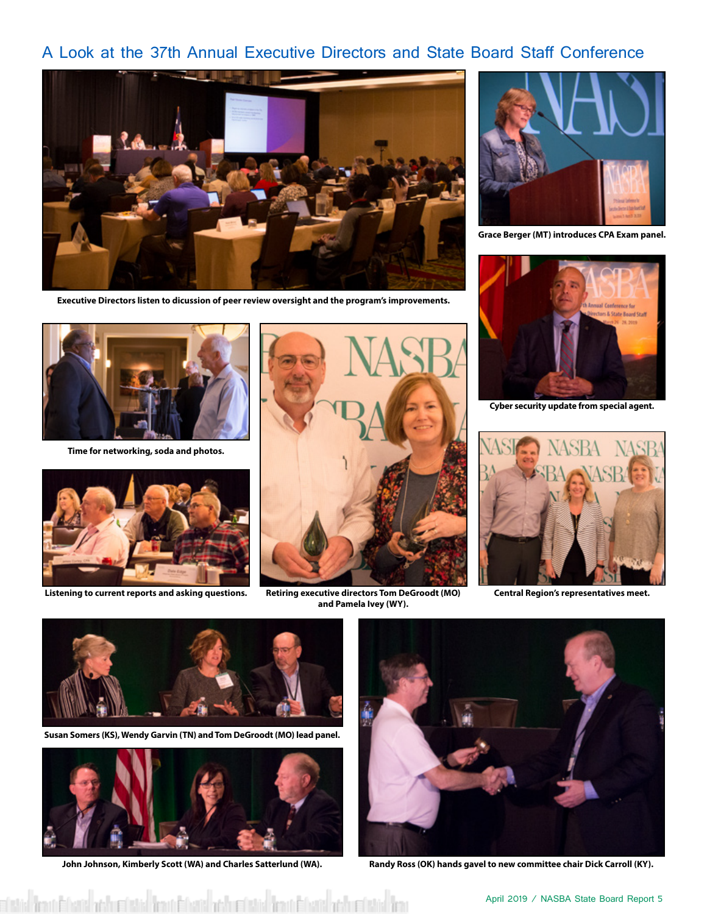#### <span id="page-4-0"></span>A Look at the 37th Annual Executive Directors and State Board Staff Conference



**Executive Directors listen to dicussion of peer review oversight and the program's improvements.**



**Time for networking, soda and photos.**





**Retiring executive directors Tom DeGroodt (MO) and Pamela Ivey (WY).**  Listening to current reports and asking questions. Betiring executive directors Tom DeGroodt (MO) Central Region's representatives meet.



**Grace Berger (MT) introduces CPA Exam panel.**



**Cyber security update from special agent.**





**Susan Somers (KS), Wendy Garvin (TN) and Tom DeGroodt (MO) lead panel.**

![](_page_4_Picture_17.jpeg)

![](_page_4_Picture_19.jpeg)

**John Johnson, Kimberly Scott (WA) and Charles Satterlund (WA). Randy Ross (OK) hands gavel to new committee chair Dick Carroll (KY).**